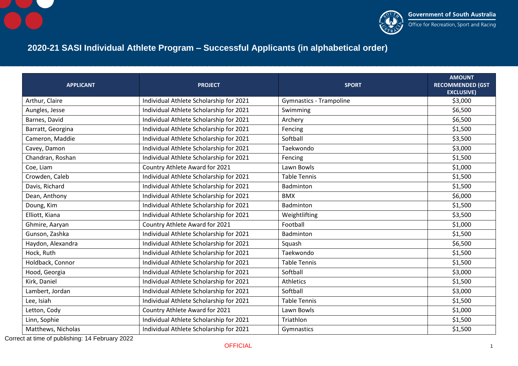



## **2020-21 SASI Individual Athlete Program – Successful Applicants (in alphabetical order)**

| <b>APPLICANT</b>   | <b>PROJECT</b>                          | <b>SPORT</b>                   | <b>AMOUNT</b><br><b>RECOMMENDED (GST</b><br><b>EXCLUSIVE)</b> |
|--------------------|-----------------------------------------|--------------------------------|---------------------------------------------------------------|
| Arthur, Claire     | Individual Athlete Scholarship for 2021 | <b>Gymnastics - Trampoline</b> | \$3,000                                                       |
| Aungles, Jesse     | Individual Athlete Scholarship for 2021 | Swimming                       | \$6,500                                                       |
| Barnes, David      | Individual Athlete Scholarship for 2021 | Archery                        | \$6,500                                                       |
| Barratt, Georgina  | Individual Athlete Scholarship for 2021 | Fencing                        | \$1,500                                                       |
| Cameron, Maddie    | Individual Athlete Scholarship for 2021 | Softball                       | \$3,500                                                       |
| Cavey, Damon       | Individual Athlete Scholarship for 2021 | Taekwondo                      | \$3,000                                                       |
| Chandran, Roshan   | Individual Athlete Scholarship for 2021 | Fencing                        | \$1,500                                                       |
| Coe, Liam          | Country Athlete Award for 2021          | Lawn Bowls                     | \$1,000                                                       |
| Crowden, Caleb     | Individual Athlete Scholarship for 2021 | <b>Table Tennis</b>            | \$1,500                                                       |
| Davis, Richard     | Individual Athlete Scholarship for 2021 | Badminton                      | \$1,500                                                       |
| Dean, Anthony      | Individual Athlete Scholarship for 2021 | <b>BMX</b>                     | \$6,000                                                       |
| Doung, Kim         | Individual Athlete Scholarship for 2021 | Badminton                      | \$1,500                                                       |
| Elliott, Kiana     | Individual Athlete Scholarship for 2021 | Weightlifting                  | \$3,500                                                       |
| Ghmire, Aaryan     | Country Athlete Award for 2021          | Football                       | \$1,000                                                       |
| Gunson, Zashka     | Individual Athlete Scholarship for 2021 | Badminton                      | \$1,500                                                       |
| Haydon, Alexandra  | Individual Athlete Scholarship for 2021 | Squash                         | \$6,500                                                       |
| Hock, Ruth         | Individual Athlete Scholarship for 2021 | Taekwondo                      | \$1,500                                                       |
| Holdback, Connor   | Individual Athlete Scholarship for 2021 | <b>Table Tennis</b>            | \$1,500                                                       |
| Hood, Georgia      | Individual Athlete Scholarship for 2021 | Softball                       | \$3,000                                                       |
| Kirk, Daniel       | Individual Athlete Scholarship for 2021 | Athletics                      | \$1,500                                                       |
| Lambert, Jordan    | Individual Athlete Scholarship for 2021 | Softball                       | \$3,000                                                       |
| Lee, Isiah         | Individual Athlete Scholarship for 2021 | <b>Table Tennis</b>            | \$1,500                                                       |
| Letton, Cody       | Country Athlete Award for 2021          | Lawn Bowls                     | \$1,000                                                       |
| Linn, Sophie       | Individual Athlete Scholarship for 2021 | Triathlon                      | \$1,500                                                       |
| Matthews, Nicholas | Individual Athlete Scholarship for 2021 | Gymnastics                     | \$1,500                                                       |

Correct at time of publishing: 14 February 2022